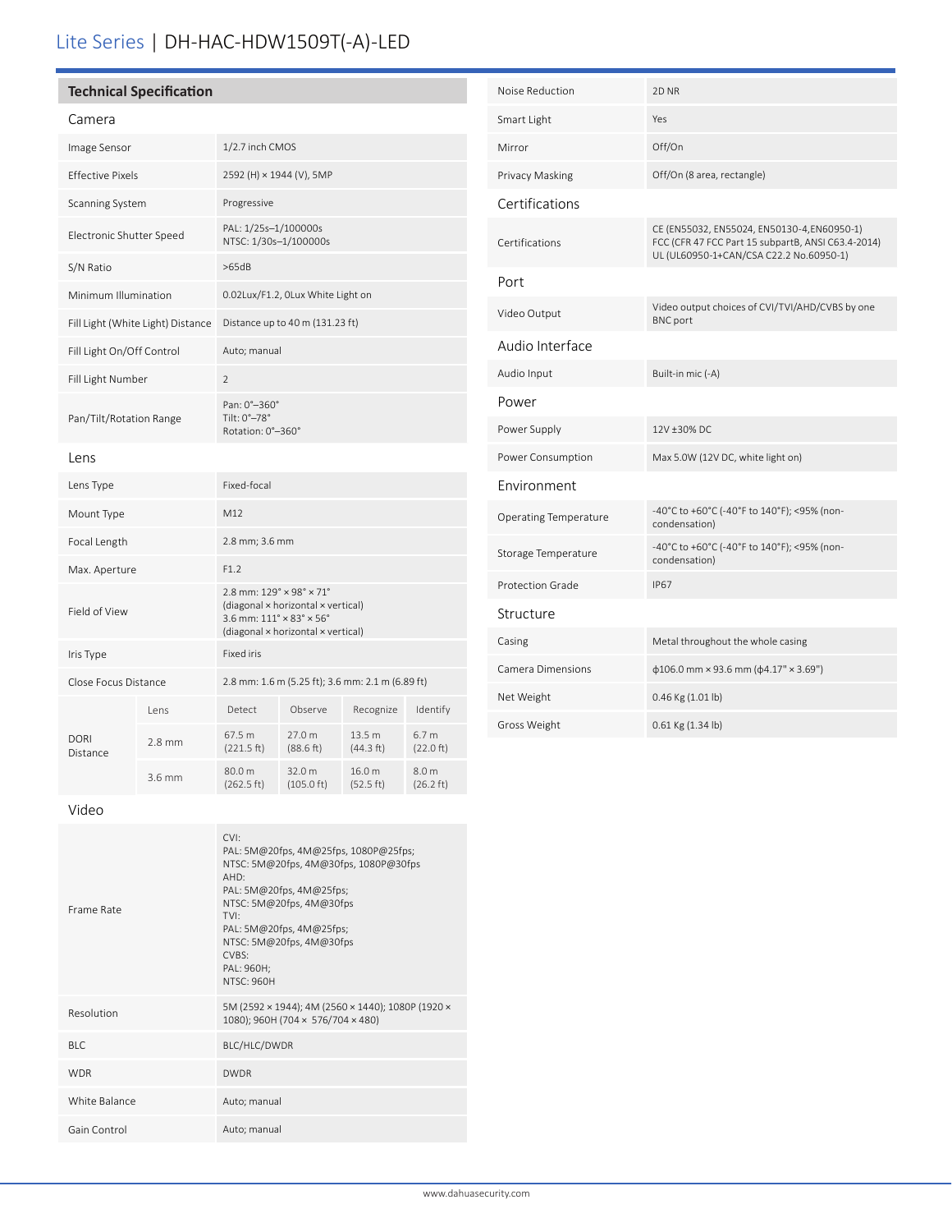## **Technical Specification**

| arte<br>£<br>Ē |
|----------------|
|----------------|

| Image Sensor                      |                   | 1/2.7 inch CMOS                                                                                                                                                                                        |                                |                     |                               |
|-----------------------------------|-------------------|--------------------------------------------------------------------------------------------------------------------------------------------------------------------------------------------------------|--------------------------------|---------------------|-------------------------------|
| <b>Effective Pixels</b>           |                   | 2592 (H) × 1944 (V), 5MP                                                                                                                                                                               |                                |                     |                               |
| Scanning System                   |                   | Progressive                                                                                                                                                                                            |                                |                     |                               |
| Electronic Shutter Speed          |                   | PAL: 1/25s-1/100000s<br>NTSC: 1/30s-1/100000s                                                                                                                                                          |                                |                     |                               |
| S/N Ratio                         |                   | >65dB                                                                                                                                                                                                  |                                |                     |                               |
| Minimum Illumination              |                   | 0.02Lux/F1.2, OLux White Light on                                                                                                                                                                      |                                |                     |                               |
| Fill Light (White Light) Distance |                   | Distance up to 40 m (131.23 ft)                                                                                                                                                                        |                                |                     |                               |
| Fill Light On/Off Control         |                   | Auto; manual                                                                                                                                                                                           |                                |                     |                               |
| Fill Light Number                 |                   | $\overline{2}$                                                                                                                                                                                         |                                |                     |                               |
| Pan/Tilt/Rotation Range           |                   | Pan: 0°-360°<br>Tilt: 0°-78°<br>Rotation: 0°-360°                                                                                                                                                      |                                |                     |                               |
| Lens                              |                   |                                                                                                                                                                                                        |                                |                     |                               |
| Lens Type                         |                   | Fixed-focal                                                                                                                                                                                            |                                |                     |                               |
| Mount Type                        |                   | M12                                                                                                                                                                                                    |                                |                     |                               |
| Focal Length                      |                   | 2.8 mm; 3.6 mm                                                                                                                                                                                         |                                |                     |                               |
| Max. Aperture                     |                   | F1.2                                                                                                                                                                                                   |                                |                     |                               |
| Field of View                     |                   | $2.8$ mm: $129^{\circ} \times 98^{\circ} \times 71^{\circ}$<br>(diagonal × horizontal × vertical)<br>$3.6$ mm: $111^{\circ} \times 83^{\circ} \times 56^{\circ}$<br>(diagonal × horizontal × vertical) |                                |                     |                               |
| Iris Type                         |                   | Fixed iris                                                                                                                                                                                             |                                |                     |                               |
| Close Focus Distance              |                   | 2.8 mm: 1.6 m (5.25 ft); 3.6 mm: 2.1 m (6.89 ft)                                                                                                                                                       |                                |                     |                               |
|                                   | l ens             | Detect                                                                                                                                                                                                 | Observe                        | Recognize           | Identify                      |
| <b>DORI</b><br>Distance           | $2.8$ mm          | 67.5 m<br>(221.5 ft)                                                                                                                                                                                   | 27.0 m<br>(88.6 ft)            | 13.5 m<br>(44.3 ft) | 6.7 <sub>m</sub><br>(22.0 ft) |
|                                   | 3.6 <sub>mm</sub> | 80.0 m<br>(262.5 ft)                                                                                                                                                                                   | 32.0 m<br>$(105.0 \text{ ft})$ | 16.0 m<br>(52.5 ft) | 8.0 m<br>$(26.2 \text{ ft})$  |

| Noise Reduction              | 2D NR                                                                                                                                        |
|------------------------------|----------------------------------------------------------------------------------------------------------------------------------------------|
| Smart Light                  | Yes                                                                                                                                          |
| Mirror                       | Off/On                                                                                                                                       |
| Privacy Masking              | Off/On (8 area, rectangle)                                                                                                                   |
| Certifications               |                                                                                                                                              |
| Certifications               | CE (EN55032, EN55024, EN50130-4, EN60950-1)<br>FCC (CFR 47 FCC Part 15 subpartB, ANSI C63.4-2014)<br>UL (UL60950-1+CAN/CSA C22.2 No.60950-1) |
| Port                         |                                                                                                                                              |
| Video Output                 | Video output choices of CVI/TVI/AHD/CVBS by one<br><b>BNC</b> port                                                                           |
| Audio Interface              |                                                                                                                                              |
| Audio Input                  | Built-in mic (-A)                                                                                                                            |
| Power                        |                                                                                                                                              |
| Power Supply                 | 12V ±30% DC                                                                                                                                  |
| Power Consumption            | Max 5.0W (12V DC, white light on)                                                                                                            |
| Environment                  |                                                                                                                                              |
| <b>Operating Temperature</b> | -40°C to +60°C (-40°F to 140°F); <95% (non-<br>condensation)                                                                                 |
| Storage Temperature          | -40°C to +60°C (-40°F to 140°F); <95% (non-<br>condensation)                                                                                 |
| <b>Protection Grade</b>      | <b>IP67</b>                                                                                                                                  |
| Structure                    |                                                                                                                                              |
| Casing                       | Metal throughout the whole casing                                                                                                            |
| <b>Camera Dimensions</b>     | $\phi$ 106.0 mm × 93.6 mm ( $\phi$ 4.17" × 3.69")                                                                                            |
| Net Weight                   | 0.46 Kg (1.01 lb)                                                                                                                            |
| Gross Weight                 | 0.61 Kg (1.34 lb)                                                                                                                            |

Video

| Frame Rate    | CVI<br>PAL: 5M@20fps, 4M@25fps, 1080P@25fps;<br>NTSC: 5M@20fps, 4M@30fps, 1080P@30fps<br>$AHD^+$<br>PAL: $5M@20fps$ , $4M@25fps$ ;<br>NTSC: 5M@20fps, 4M@30fps<br>TVI:<br>PAL: 5M@20fps, 4M@25fps;<br>NTSC: 5M@20fps, 4M@30fps<br>CVRS<br>PAL: 960H;<br><b>NTSC: 960H</b> |
|---------------|---------------------------------------------------------------------------------------------------------------------------------------------------------------------------------------------------------------------------------------------------------------------------|
| Resolution    | 5M (2592 × 1944); 4M (2560 × 1440); 1080P (1920 ×<br>1080); 960H (704 × 576/704 × 480)                                                                                                                                                                                    |
| BI C          | BLC/HLC/DWDR                                                                                                                                                                                                                                                              |
| <b>WDR</b>    | <b>DWDR</b>                                                                                                                                                                                                                                                               |
| White Balance | Auto; manual                                                                                                                                                                                                                                                              |
| Gain Control  | Auto; manual                                                                                                                                                                                                                                                              |
|               |                                                                                                                                                                                                                                                                           |